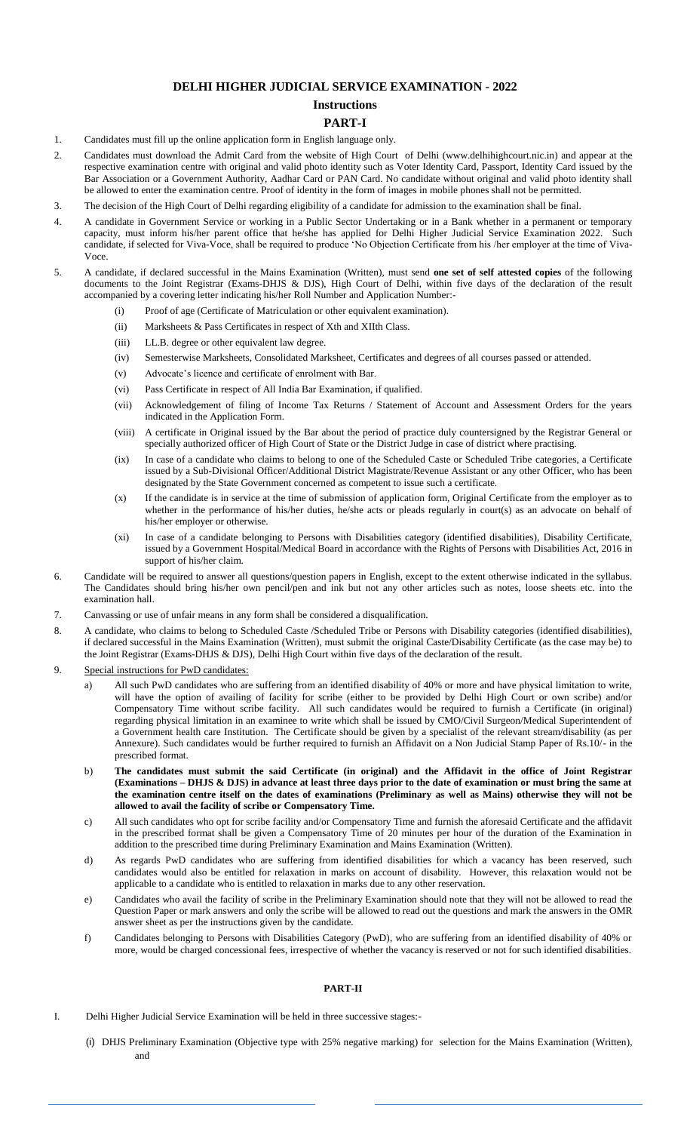## **DELHI HIGHER JUDICIAL SERVICE EXAMINATION - 2022**

# **Instructions**

#### **PART-I**

- 1. Candidates must fill up the online application form in English language only.
- 2. Candidates must download the Admit Card from the website of High Court of Delhi (www.delhihighcourt.nic.in) and appear at the respective examination centre with original and valid photo identity such as Voter Identity Card, Passport, Identity Card issued by the Bar Association or a Government Authority, Aadhar Card or PAN Card. No candidate without original and valid photo identity shall be allowed to enter the examination centre. Proof of identity in the form of images in mobile phones shall not be permitted.
- 3. The decision of the High Court of Delhi regarding eligibility of a candidate for admission to the examination shall be final.
- 4. A candidate in Government Service or working in a Public Sector Undertaking or in a Bank whether in a permanent or temporary capacity, must inform his/her parent office that he/she has applied for Delhi Higher Judicial Service Examination 2022. Such candidate, if selected for Viva-Voce, shall be required to produce 'No Objection Certificate from his /her employer at the time of Viva-**Voce**
- 5. A candidate, if declared successful in the Mains Examination (Written), must send **one set of self attested copies** of the following documents to the Joint Registrar (Exams-DHJS & DJS), High Court of Delhi, within five days of the declaration of the result accompanied by a covering letter indicating his/her Roll Number and Application Number:-
	- (i) Proof of age (Certificate of Matriculation or other equivalent examination).
	- (ii) Marksheets & Pass Certificates in respect of Xth and XIIth Class.
	- (iii) LL.B. degree or other equivalent law degree.
	- (iv) Semesterwise Marksheets, Consolidated Marksheet, Certificates and degrees of all courses passed or attended.
	- (v) Advocate's licence and certificate of enrolment with Bar.
	- (vi) Pass Certificate in respect of All India Bar Examination, if qualified.
	- (vii) Acknowledgement of filing of Income Tax Returns / Statement of Account and Assessment Orders for the years indicated in the Application Form.
	- (viii) A certificate in Original issued by the Bar about the period of practice duly countersigned by the Registrar General or specially authorized officer of High Court of State or the District Judge in case of district where practising.
	- (ix) In case of a candidate who claims to belong to one of the Scheduled Caste or Scheduled Tribe categories, a Certificate issued by a Sub-Divisional Officer/Additional District Magistrate/Revenue Assistant or any other Officer, who has been designated by the State Government concerned as competent to issue such a certificate.
	- (x) If the candidate is in service at the time of submission of application form, Original Certificate from the employer as to whether in the performance of his/her duties, he/she acts or pleads regularly in court(s) as an advocate on behalf of his/her employer or otherwise.
	- (xi) In case of a candidate belonging to Persons with Disabilities category (identified disabilities), Disability Certificate, issued by a Government Hospital/Medical Board in accordance with the Rights of Persons with Disabilities Act, 2016 in support of his/her claim.
- 6. Candidate will be required to answer all questions/question papers in English, except to the extent otherwise indicated in the syllabus. The Candidates should bring his/her own pencil/pen and ink but not any other articles such as notes, loose sheets etc. into the examination hall.
- 7. Canvassing or use of unfair means in any form shall be considered a disqualification.
- 8. A candidate, who claims to belong to Scheduled Caste /Scheduled Tribe or Persons with Disability categories (identified disabilities), if declared successful in the Mains Examination (Written), must submit the original Caste/Disability Certificate (as the case may be) to the Joint Registrar (Exams-DHJS & DJS), Delhi High Court within five days of the declaration of the result.
- 9. Special instructions for PwD candidates:
	- a) All such PwD candidates who are suffering from an identified disability of 40% or more and have physical limitation to write, will have the option of availing of facility for scribe (either to be provided by Delhi High Court or own scribe) and/or Compensatory Time without scribe facility. All such candidates would be required to furnish a Certificate (in original) regarding physical limitation in an examinee to write which shall be issued by CMO/Civil Surgeon/Medical Superintendent of a Government health care Institution. The Certificate should be given by a specialist of the relevant stream/disability (as per Annexure). Such candidates would be further required to furnish an Affidavit on a Non Judicial Stamp Paper of Rs.10/- in the prescribed format.
	- b) **The candidates must submit the said Certificate (in original) and the Affidavit in the office of Joint Registrar (Examinations – DHJS & DJS) in advance at least three days prior to the date of examination or must bring the same at the examination centre itself on the dates of examinations (Preliminary as well as Mains) otherwise they will not be allowed to avail the facility of scribe or Compensatory Time.**
	- c) All such candidates who opt for scribe facility and/or Compensatory Time and furnish the aforesaid Certificate and the affidavit in the prescribed format shall be given a Compensatory Time of 20 minutes per hour of the duration of the Examination in addition to the prescribed time during Preliminary Examination and Mains Examination (Written).
	- d) As regards PwD candidates who are suffering from identified disabilities for which a vacancy has been reserved, such candidates would also be entitled for relaxation in marks on account of disability. However, this relaxation would not be applicable to a candidate who is entitled to relaxation in marks due to any other reservation.
	- e) Candidates who avail the facility of scribe in the Preliminary Examination should note that they will not be allowed to read the Question Paper or mark answers and only the scribe will be allowed to read out the questions and mark the answers in the OMR answer sheet as per the instructions given by the candidate.
	- f) Candidates belonging to Persons with Disabilities Category (PwD), who are suffering from an identified disability of 40% or more, would be charged concessional fees, irrespective of whether the vacancy is reserved or not for such identified disabilities.

#### **PART-II**

- I. Delhi Higher Judicial Service Examination will be held in three successive stages:-
	- (i) DHJS Preliminary Examination (Objective type with 25% negative marking) for selection for the Mains Examination (Written), and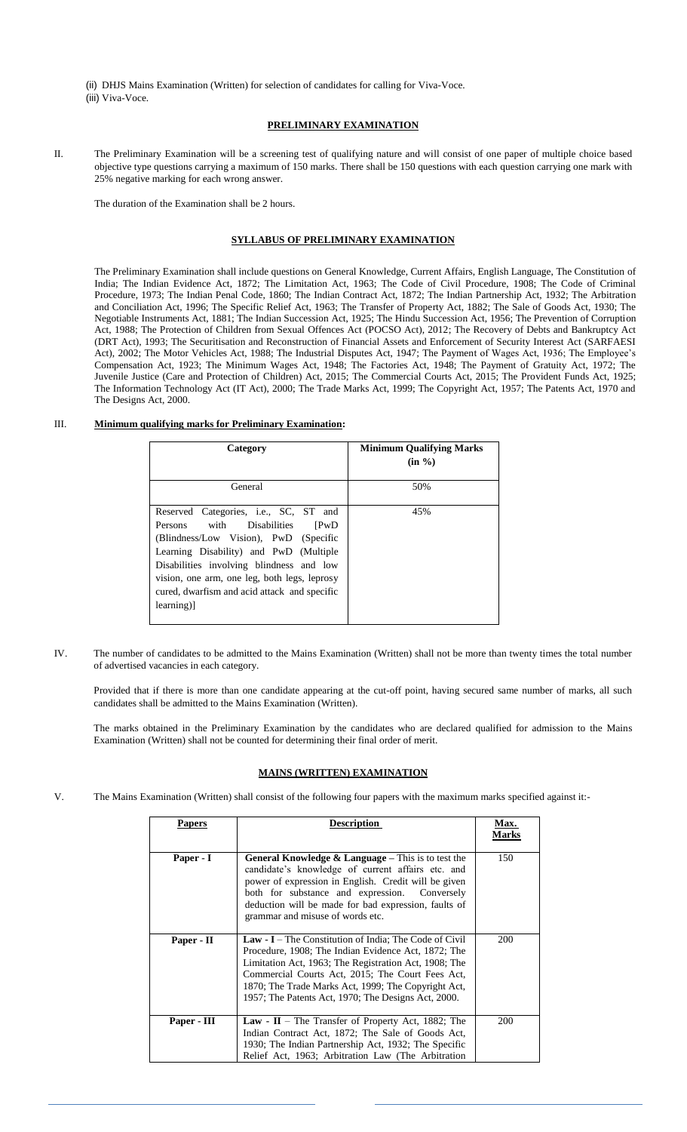(ii) DHJS Mains Examination (Written) for selection of candidates for calling for Viva-Voce.

(iii) Viva-Voce.

### **PRELIMINARY EXAMINATION**

II. The Preliminary Examination will be a screening test of qualifying nature and will consist of one paper of multiple choice based objective type questions carrying a maximum of 150 marks. There shall be 150 questions with each question carrying one mark with 25% negative marking for each wrong answer.

The duration of the Examination shall be 2 hours.

# **SYLLABUS OF PRELIMINARY EXAMINATION**

The Preliminary Examination shall include questions on General Knowledge, Current Affairs, English Language, The Constitution of India; The Indian Evidence Act, 1872; The Limitation Act, 1963; The Code of Civil Procedure, 1908; The Code of Criminal Procedure, 1973; The Indian Penal Code, 1860; The Indian Contract Act, 1872; The Indian Partnership Act, 1932; The Arbitration and Conciliation Act, 1996; The Specific Relief Act, 1963; The Transfer of Property Act, 1882; The Sale of Goods Act, 1930; The Negotiable Instruments Act, 1881; The Indian Succession Act, 1925; The Hindu Succession Act, 1956; The Prevention of Corruption Act, 1988; The Protection of Children from Sexual Offences Act (POCSO Act), 2012; The Recovery of Debts and Bankruptcy Act (DRT Act), 1993; The Securitisation and Reconstruction of Financial Assets and Enforcement of Security Interest Act (SARFAESI Act), 2002; The Motor Vehicles Act, 1988; The Industrial Disputes Act, 1947; The Payment of Wages Act, 1936; The Employee's Compensation Act, 1923; The Minimum Wages Act, 1948; The Factories Act, 1948; The Payment of Gratuity Act, 1972; The Juvenile Justice (Care and Protection of Children) Act, 2015; The Commercial Courts Act, 2015; The Provident Funds Act, 1925; The Information Technology Act (IT Act), 2000; The Trade Marks Act, 1999; The Copyright Act, 1957; The Patents Act, 1970 and The Designs Act, 2000.

# III. **Minimum qualifying marks for Preliminary Examination:**

| Category                                                                                                                                                                                                                                                                                                                            | <b>Minimum Qualifying Marks</b> |  |
|-------------------------------------------------------------------------------------------------------------------------------------------------------------------------------------------------------------------------------------------------------------------------------------------------------------------------------------|---------------------------------|--|
|                                                                                                                                                                                                                                                                                                                                     | $(in \%$ )                      |  |
| General                                                                                                                                                                                                                                                                                                                             | 50%                             |  |
| Reserved Categories, i.e., SC, ST and<br>with Disabilities<br>Persons<br><b>PWD</b><br>(Blindness/Low Vision), PwD (Specific<br>Learning Disability) and PwD (Multiple<br>Disabilities involving blindness and low<br>vision, one arm, one leg, both legs, leprosy<br>cured, dwarfism and acid attack and specific<br>$learning)$ ] | 45%                             |  |

IV. The number of candidates to be admitted to the Mains Examination (Written) shall not be more than twenty times the total number of advertised vacancies in each category.

Provided that if there is more than one candidate appearing at the cut-off point, having secured same number of marks, all such candidates shall be admitted to the Mains Examination (Written).

The marks obtained in the Preliminary Examination by the candidates who are declared qualified for admission to the Mains Examination (Written) shall not be counted for determining their final order of merit.

### **MAINS (WRITTEN) EXAMINATION**

V. The Mains Examination (Written) shall consist of the following four papers with the maximum marks specified against it:-

|  | Papers                                                                                                                                                                                                                                                                                                                                                                                                                                                                                                                                                                                                       | <b>Description</b>                                                                                                                                                                                                                                                                                                      | <b>Max.</b><br>Marks |
|--|--------------------------------------------------------------------------------------------------------------------------------------------------------------------------------------------------------------------------------------------------------------------------------------------------------------------------------------------------------------------------------------------------------------------------------------------------------------------------------------------------------------------------------------------------------------------------------------------------------------|-------------------------------------------------------------------------------------------------------------------------------------------------------------------------------------------------------------------------------------------------------------------------------------------------------------------------|----------------------|
|  | Paper - I                                                                                                                                                                                                                                                                                                                                                                                                                                                                                                                                                                                                    | <b>General Knowledge &amp; Language</b> – This is to test the<br>candidate's knowledge of current affairs etc. and<br>power of expression in English. Credit will be given<br>both for substance and expression. Conversely<br>deduction will be made for bad expression, faults of<br>grammar and misuse of words etc. | 150                  |
|  | Paper - II<br><b>Law - I</b> – The Constitution of India; The Code of Civil<br>Procedure, 1908; The Indian Evidence Act, 1872; The<br>Limitation Act, 1963; The Registration Act, 1908; The<br>Commercial Courts Act, 2015; The Court Fees Act,<br>1870; The Trade Marks Act, 1999; The Copyright Act,<br>1957; The Patents Act, 1970; The Designs Act, 2000.<br>Paper - III<br><b>Law - II</b> – The Transfer of Property Act, 1882; The<br>Indian Contract Act, 1872; The Sale of Goods Act,<br>1930; The Indian Partnership Act, 1932; The Specific<br>Relief Act, 1963; Arbitration Law (The Arbitration |                                                                                                                                                                                                                                                                                                                         | 200                  |
|  |                                                                                                                                                                                                                                                                                                                                                                                                                                                                                                                                                                                                              |                                                                                                                                                                                                                                                                                                                         | 200                  |